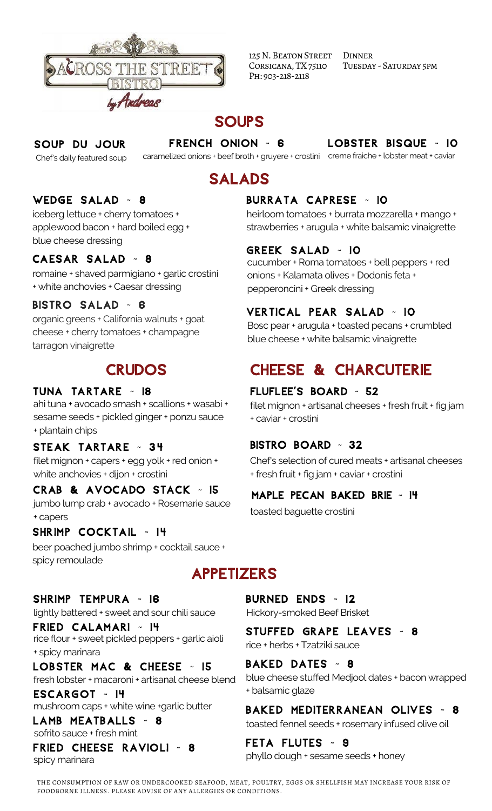

125 N. BEATON STREET Corsicana, TX75110 Ph: 903-218-2118

**DINNER** Tuesday - Saturday 5pm

# **SOUPS**

#### Soup du Jour

Chef's daily featured soup

caramelized onions + beef broth + gruyere + crostini creme fraiche + lobster meat + caviar French Onion ~ 6

LOBSTER BISQUE ~ 10

# Salads

## WEDGE SALAD ~ 8

iceberg lettuce + cherry tomatoes + applewood bacon + hard boiled egg + blue cheese dressing

## CAESAR SALAD ~ 8

romaine + shaved parmigiano + garlic crostini + white anchovies + Caesar dressing

## Bistro Salad ~ 6

organic greens + California walnuts + goat cheese + cherry tomatoes + champagne tarragon vinaigrette

## **CRUDOS**

## Tuna Tartare ~ 18

ahi tuna + avocado smash + scallions + wasabi + sesame seeds + pickled ginger + ponzu sauce + plantain chips

#### STEAK TARTARE ~ 34

filet mignon + capers + egg yolk + red onion + white anchovies + dijon + crostini

## Crab & Avocado Stack ~ 15

jumbo lump crab + avocado + Rosemarie sauce + capers

## Shrimp Cocktail ~ 14

beer poached jumbo shrimp + cocktail sauce + spicy remoulade

# Appetizers

#### Shrimp Tempura ~ 16

lightly battered + sweet and sour chili sauce

Fried Calamari ~ 14 rice flour + sweet pickled peppers + garlic aioli + spicy marinara

LOBSTER MAC & CHEESE ~ 15 fresh lobster + macaroni + artisanal cheese blend

Escargot ~ 14

LAMB MEATBALLS ~ 8 sofrito sauce + fresh mint

Fried Cheese Ravioli ~ 8 spicy marinara

## Burrata Caprese ~ 10

heirloom tomatoes + burrata mozzarella + mango + strawberries + arugula + white balsamic vinaigrette

## Greek Salad ~ 10

cucumber + Roma tomatoes + bell peppers + red onions + Kalamata olives + Dodonis feta + pepperoncini + Greek dressing

## Vertical Pear Salad ~ 10

Bosc pear + arugula + toasted pecans + crumbled blue cheese + white balsamic vinaigrette

# Cheese & Charcuterie

#### FLUFLEE'S Board ~ 52

filet mignon + artisanal cheeses + fresh fruit + fig jam + caviar + crostini

#### Bistro Board ~ 32

Chef's selection of cured meats + artisanal cheeses + fresh fruit + fig jam + caviar + crostini

## Maple Pecan Baked Brie ~ 14

toasted baguette crostini

burned ends ~ 12

Hickory-smoked Beef Brisket

Stuffed Grape Leaves ~ 8 rice + herbs + Tzatziki sauce

BAKED DATES ~ 8

blue cheese stuffed Medjool dates + bacon wrapped + balsamic glaze

mushroom caps + white wine +garlic butter **BAKED MEDITERRANEAN OLIVES** ~ 8 toasted fennel seeds + rosemary infused olive oil

> Feta Flutes ~ 9 phyllo dough + sesame seeds + honey